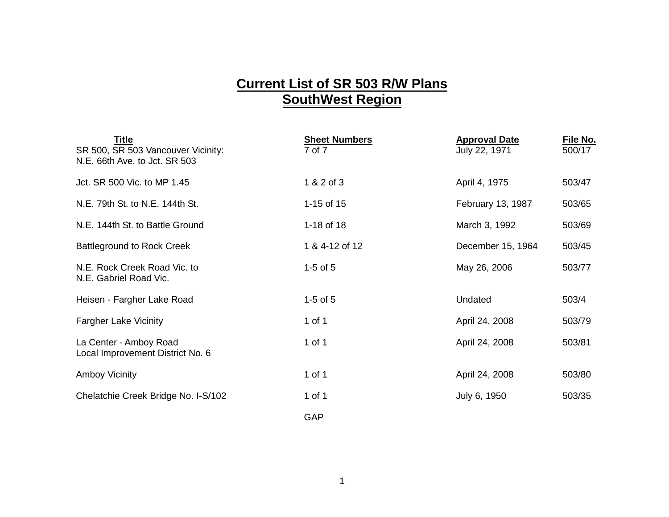## **Current List of SR 503 R/W Plans SouthWest Region**

| <b>Title</b><br>SR 500, SR 503 Vancouver Vicinity:<br>N.E. 66th Ave. to Jct. SR 503 | <b>Sheet Numbers</b><br>7 of 7 | <b>Approval Date</b><br>July 22, 1971 | File No.<br>500/17 |
|-------------------------------------------------------------------------------------|--------------------------------|---------------------------------------|--------------------|
| Jct. SR 500 Vic. to MP 1.45                                                         | 1 & 2 of 3                     | April 4, 1975                         | 503/47             |
| N.E. 79th St. to N.E. 144th St.                                                     | 1-15 of 15                     | February 13, 1987                     | 503/65             |
| N.E. 144th St. to Battle Ground                                                     | 1-18 of 18                     | March 3, 1992                         | 503/69             |
| <b>Battleground to Rock Creek</b>                                                   | 1 & 4-12 of 12                 | December 15, 1964                     | 503/45             |
| N.E. Rock Creek Road Vic. to<br>N.E. Gabriel Road Vic.                              | $1-5$ of $5$                   | May 26, 2006                          | 503/77             |
| Heisen - Fargher Lake Road                                                          | $1-5$ of $5$                   | Undated                               | 503/4              |
| <b>Fargher Lake Vicinity</b>                                                        | 1 of 1                         | April 24, 2008                        | 503/79             |
| La Center - Amboy Road<br>Local Improvement District No. 6                          | 1 of 1                         | April 24, 2008                        | 503/81             |
| <b>Amboy Vicinity</b>                                                               | 1 of 1                         | April 24, 2008                        | 503/80             |
| Chelatchie Creek Bridge No. I-S/102                                                 | 1 of 1                         | July 6, 1950                          | 503/35             |
|                                                                                     | GAP                            |                                       |                    |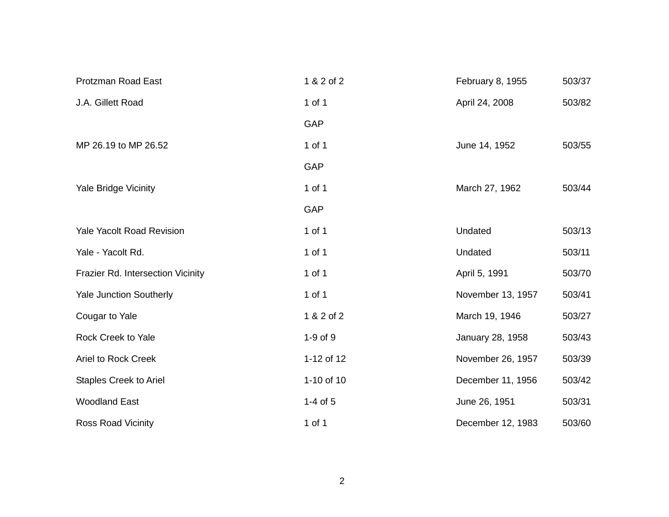| <b>Protzman Road East</b>         | 1 & 2 of 2   | February 8, 1955  | 503/37 |
|-----------------------------------|--------------|-------------------|--------|
| J.A. Gillett Road                 | 1 of 1       | April 24, 2008    | 503/82 |
|                                   | GAP          |                   |        |
| MP 26.19 to MP 26.52              | $1$ of $1$   | June 14, 1952     | 503/55 |
|                                   | GAP          |                   |        |
| <b>Yale Bridge Vicinity</b>       | 1 of 1       | March 27, 1962    | 503/44 |
|                                   | GAP          |                   |        |
| <b>Yale Yacolt Road Revision</b>  | 1 of 1       | Undated           | 503/13 |
| Yale - Yacolt Rd.                 | 1 of 1       | Undated           | 503/11 |
| Frazier Rd. Intersection Vicinity | $1$ of $1$   | April 5, 1991     | 503/70 |
| Yale Junction Southerly           | $1$ of $1$   | November 13, 1957 | 503/41 |
| Cougar to Yale                    | 1 & 2 of 2   | March 19, 1946    | 503/27 |
| Rock Creek to Yale                | 1-9 of 9     | January 28, 1958  | 503/43 |
| <b>Ariel to Rock Creek</b>        | 1-12 of 12   | November 26, 1957 | 503/39 |
| <b>Staples Creek to Ariel</b>     | 1-10 of 10   | December 11, 1956 | 503/42 |
| <b>Woodland East</b>              | $1-4$ of $5$ | June 26, 1951     | 503/31 |
| <b>Ross Road Vicinity</b>         | 1 of 1       | December 12, 1983 | 503/60 |